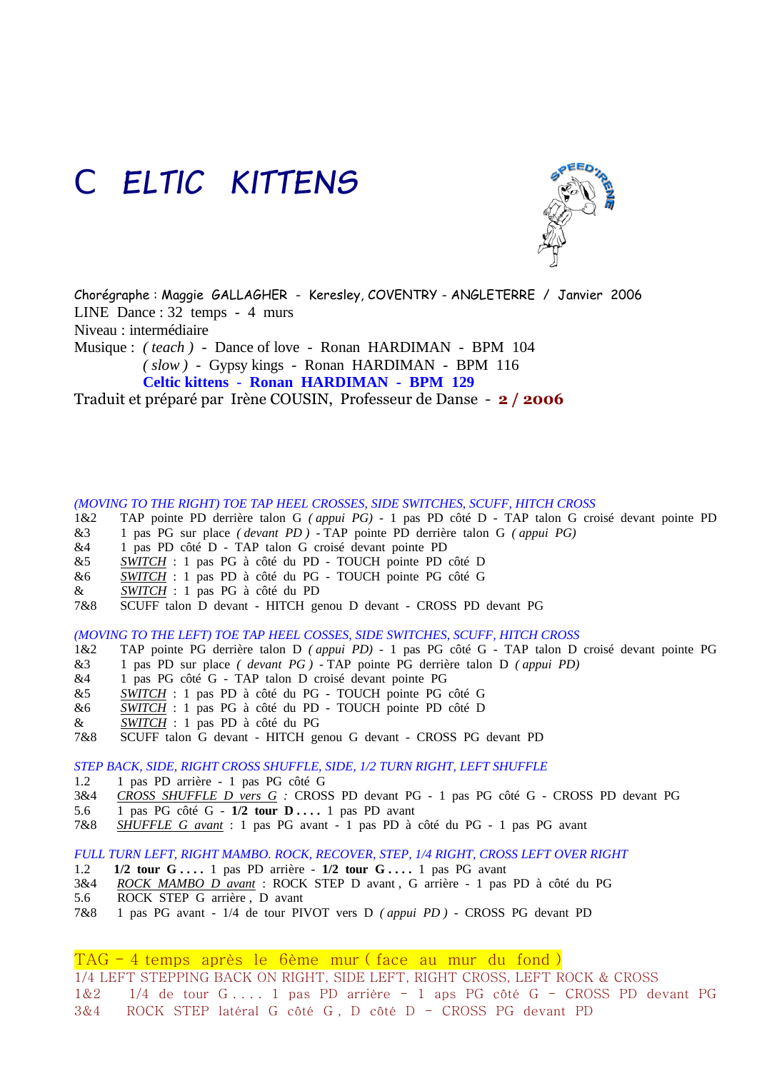## *CELTIC KITTENS*



Chorégraphe : Maggie GALLAGHER - Keresley, COVENTRY - ANGLETERRE / Janvier 2006 LINE Dance : 32 temps - 4 murs Niveau : intermédiaire Musique : *( teach )* - Dance of love - Ronan HARDIMAN - BPM 104 *( slow )* - Gypsy kings - Ronan HARDIMAN - BPM 116 **Celtic kittens** - **Ronan HARDIMAN - BPM 129**

Traduit et préparé par Irène COUSIN, Professeur de Danse - **2 / 2006**

*(MOVING TO THE RIGHT) TOE TAP HEEL CROSSES, SIDE SWITCHES, SCUFF, HITCH CROSS*

- 1&2 TAP pointe PD derrière talon G *( appui PG)* 1 pas PD côté D TAP talon G croisé devant pointe PD
- &3 1 pas PG sur place *( devant PD )* TAP pointe PD derrière talon G *( appui PG)*
- &4 1 pas PD côté D TAP talon G croisé devant pointe PD
- &5 *SWITCH* : 1 pas PG à côté du PD TOUCH pointe PD côté D
- &6 *SWITCH* : 1 pas PD à côté du PG TOUCH pointe PG côté G
- & *SWITCH* : 1 pas PG à côté du PD
- 7&8 SCUFF talon D devant HITCH genou D devant CROSS PD devant PG

*(MOVING TO THE LEFT) TOE TAP HEEL COSSES, SIDE SWITCHES, SCUFF, HITCH CROSS*

- 1&2 TAP pointe PG derrière talon D *( appui PD)* 1 pas PG côté G TAP talon D croisé devant pointe PG &3 1 pas PD sur place *( devant PG )* - TAP pointe PG derrière talon D *( appui PD)*
- &4 1 pas PG côté G TAP talon D croisé devant pointe PG
- &5 *SWITCH* : 1 pas PD à côté du PG TOUCH pointe PG côté G
- &6 *SWITCH* : 1 pas PG à côté du PD TOUCH pointe PD côté D
- & *SWITCH* : 1 pas PD à côté du PG
- 7&8 SCUFF talon G devant HITCH genou G devant CROSS PG devant PD

*STEP BACK, SIDE, RIGHT CROSS SHUFFLE, SIDE, 1/2 TURN RIGHT, LEFT SHUFFLE*

- 1.2 1 pas PD arrière 1 pas PG côté G
- 3&4 *CROSS SHUFFLE D vers G :* CROSS PD devant PG 1 pas PG côté G CROSS PD devant PG
- 5.6 1 pas PG côté G **1/2 tour D . . . .** 1 pas PD avant
- 7&8 *SHUFFLE G avant* : 1 pas PG avant 1 pas PD à côté du PG 1 pas PG avant

*FULL TURN LEFT, RIGHT MAMBO. ROCK, RECOVER, STEP, 1/4 RIGHT, CROSS LEFT OVER RIGHT*

- 1.2 **1/2 tour G** ... . 1 pas PD arrière **1/2 tour G** ... . 1 pas PG avant 3&4 ROCK MAMBO D avant : ROCK STEP D avant . G arrière 1 pas
- 3&4 *ROCK MAMBO D avant* : ROCK STEP D avant , G arrière 1 pas PD à côté du PG
- 5.6 ROCK STEP G arrière , D avant
- 7&8 1 pas PG avant 1/4 de tour PIVOT vers D *( appui PD )* CROSS PG devant PD

TAG - 4 temps après le 6ème mur ( face au mur du fond )

1/4 LEFT STEPPING BACK ON RIGHT, SIDE LEFT, RIGHT CROSS, LEFT ROCK & CROSS

1&2 1/4 de tour G . . . . 1 pas PD arrière - 1 aps PG côté G - CROSS PD devant PG 3&4 ROCK STEP latéral G côté G , D côté D - CROSS PG devant PD